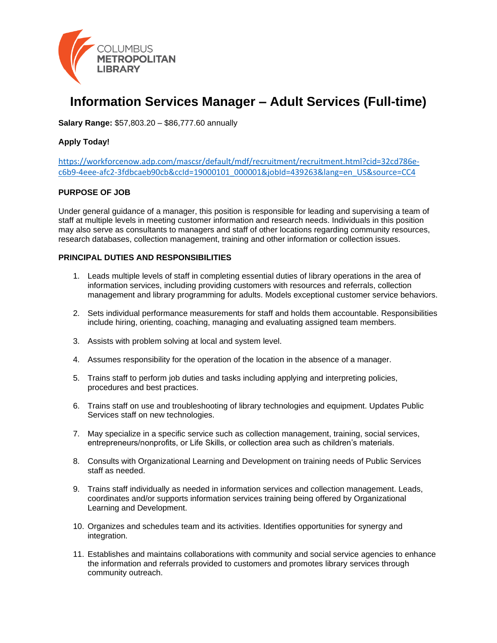

# **Information Services Manager – Adult Services (Full-time)**

**Salary Range:** \$57,803.20 – \$86,777.60 annually

#### **Apply Today!**

[https://workforcenow.adp.com/mascsr/default/mdf/recruitment/recruitment.html?cid=32cd786e](https://workforcenow.adp.com/mascsr/default/mdf/recruitment/recruitment.html?cid=32cd786e-c6b9-4eee-afc2-3fdbcaeb90cb&ccId=19000101_000001&jobId=439263&lang=en_US&source=CC4)[c6b9-4eee-afc2-3fdbcaeb90cb&ccId=19000101\\_000001&jobId=439263&lang=en\\_US&source=CC4](https://workforcenow.adp.com/mascsr/default/mdf/recruitment/recruitment.html?cid=32cd786e-c6b9-4eee-afc2-3fdbcaeb90cb&ccId=19000101_000001&jobId=439263&lang=en_US&source=CC4)

#### **PURPOSE OF JOB**

Under general guidance of a manager, this position is responsible for leading and supervising a team of staff at multiple levels in meeting customer information and research needs. Individuals in this position may also serve as consultants to managers and staff of other locations regarding community resources, research databases, collection management, training and other information or collection issues.

#### **PRINCIPAL DUTIES AND RESPONSIBILITIES**

- 1. Leads multiple levels of staff in completing essential duties of library operations in the area of information services, including providing customers with resources and referrals, collection management and library programming for adults. Models exceptional customer service behaviors.
- 2. Sets individual performance measurements for staff and holds them accountable. Responsibilities include hiring, orienting, coaching, managing and evaluating assigned team members.
- 3. Assists with problem solving at local and system level.
- 4. Assumes responsibility for the operation of the location in the absence of a manager.
- 5. Trains staff to perform job duties and tasks including applying and interpreting policies, procedures and best practices.
- 6. Trains staff on use and troubleshooting of library technologies and equipment. Updates Public Services staff on new technologies.
- 7. May specialize in a specific service such as collection management, training, social services, entrepreneurs/nonprofits, or Life Skills, or collection area such as children's materials.
- 8. Consults with Organizational Learning and Development on training needs of Public Services staff as needed.
- 9. Trains staff individually as needed in information services and collection management. Leads, coordinates and/or supports information services training being offered by Organizational Learning and Development.
- 10. Organizes and schedules team and its activities. Identifies opportunities for synergy and integration.
- 11. Establishes and maintains collaborations with community and social service agencies to enhance the information and referrals provided to customers and promotes library services through community outreach.